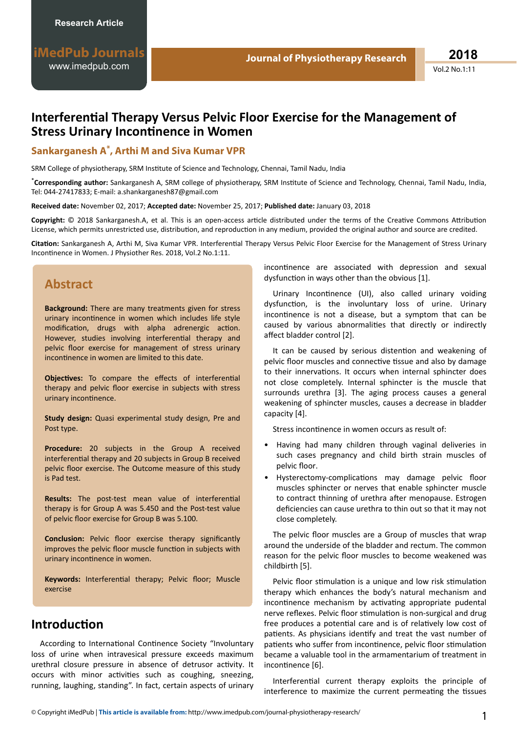# **Interferential Therapy Versus Pelvic Floor Exercise for the Management of Stress Urinary Incontinence in Women**

### **Sankarganesh A\* , Arthi M and Siva Kumar VPR**

SRM College of physiotherapy, SRM Institute of Science and Technology, Chennai, Tamil Nadu, India

\*Corresponding author: Sankarganesh A, SRM college of physiotherapy, SRM Institute of Science and Technology, Chennai, Tamil Nadu, India, Tel: 044-27417833; E-mail: a.shankarganesh87@gmail.com

**Received date:** November 02, 2017; **Accepted date:** November 25, 2017; **Published date:** January 03, 2018

Copyright: © 2018 Sankarganesh.A, et al. This is an open-access article distributed under the terms of the Creative Commons Attribution License, which permits unrestricted use, distribution, and reproduction in any medium, provided the original author and source are credited.

Citation: Sankarganesh A, Arthi M, Siva Kumar VPR. Interferential Therapy Versus Pelvic Floor Exercise for the Management of Stress Urinary Incontinence in Women. J Physiother Res. 2018, Vol.2 No.1:11.

# **Abstract**

**Background:** There are many treatments given for stress urinary incontinence in women which includes life style modification, drugs with alpha adrenergic action. However, studies involving interferential therapy and pelvic floor exercise for management of stress urinary incontinence in women are limited to this date.

**Obiectives:** To compare the effects of interferential therapy and pelvic floor exercise in subjects with stress urinary incontinence.

**Study design:** Quasi experimental study design, Pre and Post type.

**Procedure:** 20 subjects in the Group A received interferential therapy and 20 subjects in Group B received pelvic floor exercise. The Outcome measure of this study is Pad test.

Results: The post-test mean value of interferential therapy is for Group A was 5.450 and the Post-test value of pelvic floor exercise for Group B was 5.100.

**Conclusion:** Pelvic floor exercise therapy significantly improves the pelvic floor muscle function in subjects with urinary incontinence in women.

Keywords: Interferential therapy; Pelvic floor; Muscle exercise

# **Introduction**

According to International Continence Society "Involuntary loss of urine when intravesical pressure exceeds maximum urethral closure pressure in absence of detrusor activity. It occurs with minor activities such as coughing, sneezing, running, laughing, standing". In fact, certain aspects of urinary incontinence are associated with depression and sexual dysfunction in ways other than the obvious [1].

Urinary Incontinence (UI), also called urinary voiding dysfunction, is the involuntary loss of urine. Urinary incontinence is not a disease, but a symptom that can be caused by various abnormalities that directly or indirectly affect bladder control [2].

It can be caused by serious distention and weakening of pelvic floor muscles and connective tissue and also by damage to their innervations. It occurs when internal sphincter does not close completely. Internal sphincter is the muscle that surrounds urethra [3]. The aging process causes a general weakening of sphincter muscles, causes a decrease in bladder capacity [4].

Stress incontinence in women occurs as result of:

- Having had many children through vaginal deliveries in such cases pregnancy and child birth strain muscles of pelvic floor.
- Hysterectomy-complications may damage pelvic floor muscles sphincter or nerves that enable sphincter muscle to contract thinning of urethra after menopause. Estrogen deficiencies can cause urethra to thin out so that it may not close completely.

The pelvic floor muscles are a Group of muscles that wrap around the underside of the bladder and rectum. The common reason for the pelvic floor muscles to become weakened was childbirth [5].

Pelvic floor stimulation is a unique and low risk stimulation therapy which enhances the body's natural mechanism and incontinence mechanism by activating appropriate pudental nerve reflexes. Pelvic floor stimulation is non-surgical and drug free produces a potential care and is of relatively low cost of patients. As physicians identify and treat the vast number of patients who suffer from incontinence, pelvic floor stimulation became a valuable tool in the armamentarium of treatment in incontinence [6].

Interferential current therapy exploits the principle of interference to maximize the current permeating the tissues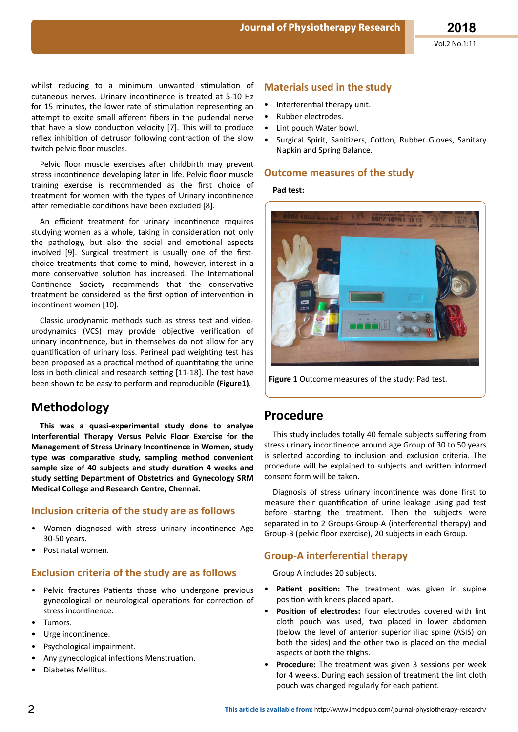whilst reducing to a minimum unwanted stimulation of cutaneous nerves. Urinary incontinence is treated at 5-10 Hz for 15 minutes, the lower rate of stimulation representing an attempt to excite small afferent fibers in the pudendal nerve that have a slow conduction velocity [7]. This will to produce reflex inhibition of detrusor following contraction of the slow twitch pelvic floor muscles.

Pelvic floor muscle exercises after childbirth may prevent stress incontinence developing later in life. Pelvic floor muscle training exercise is recommended as the first choice of treatment for women with the types of Urinary incontinence after remediable conditions have been excluded [8].

An efficient treatment for urinary incontinence requires studying women as a whole, taking in consideration not only the pathology, but also the social and emotional aspects involved [9]. Surgical treatment is usually one of the firstchoice treatments that come to mind, however, interest in a more conservative solution has increased. The International Continence Society recommends that the conservative treatment be considered as the first option of intervention in incontinent women [10].

Classic urodynamic methods such as stress test and videourodynamics (VCS) may provide objective verification of urinary incontinence, but in themselves do not allow for any quantification of urinary loss. Perineal pad weighting test has been proposed as a practical method of quantitating the urine loss in both clinical and research setting [11-18]. The test have been shown to be easy to perform and reproducible (Figure1).

## **Methodology**

This was a quasi-experimental study done to analyze Interferential Therapy Versus Pelvic Floor Exercise for the Management of Stress Urinary Incontinence in Women, study type was comparative study, sampling method convenient sample size of 40 subjects and study duration 4 weeks and study setting Department of Obstetrics and Gynecology SRM Medical College and Research Centre, Chennai.

#### Inclusion criteria of the study are as follows

- Women diagnosed with stress urinary incontinence Age 30-50 vears.
- Post natal women.

#### **Exclusion criteria of the study are as follows**

- Pelvic fractures Patients those who undergone previous gynecological or neurological operations for correction of stress incontinence.
- Tumors.
- Urge incontinence.
- Psychological impairment.
- Any gynecological infections Menstruation.
- Diabetes Mellitus.

### **Materials used in the study**

- Interferential therapy unit.
- Rubber electrodes.
- Lint pouch Water bowl.  $\bullet$
- $\bullet$ Surgical Spirit, Sanitizers, Cotton, Rubber Gloves, Sanitary Napkin and Spring Balance.

#### **Outcome measures of the study**

#### Pad test:



Figure 1 Outcome measures of the study: Pad test.

## **Procedure**

This study includes totally 40 female subjects suffering from stress urinary incontinence around age Group of 30 to 50 years is selected according to inclusion and exclusion criteria. The procedure will be explained to subjects and written informed consent form will be taken.

Diagnosis of stress urinary incontinence was done first to measure their quantification of urine leakage using pad test before starting the treatment. Then the subjects were separated in to 2 Groups-Group-A (interferential therapy) and Group-B (pelvic floor exercise), 20 subjects in each Group.

### **Group-A interferential therapy**

Group A includes 20 subjects.

- Patient position: The treatment was given in supine position with knees placed apart.
- Position of electrodes: Four electrodes covered with lint cloth pouch was used, two placed in lower abdomen (below the level of anterior superior iliac spine (ASIS) on both the sides) and the other two is placed on the medial aspects of both the thighs.
- Procedure: The treatment was given 3 sessions per week for 4 weeks. During each session of treatment the lint cloth pouch was changed regularly for each patient.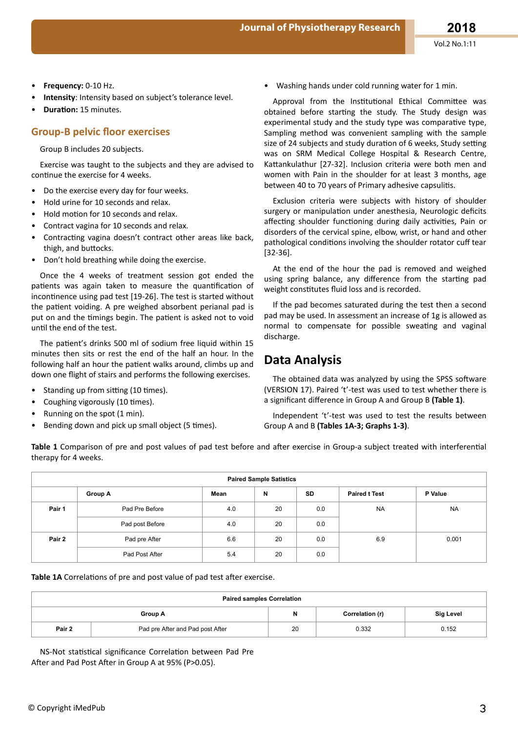- **Frequency:** 0-10 Hz.
- **Intensity**: Intensity based on subject's tolerance level.
- **Duration: 15 minutes.**

## **Group-B pelvic floor exercises**

Group B includes 20 subjects.

Exercise was taught to the subjects and they are advised to continue the exercise for 4 weeks.

- Do the exercise every day for four weeks.
- Hold urine for 10 seconds and relax.
- Hold motion for 10 seconds and relax.
- Contract vagina for 10 seconds and relax.
- Contracting vagina doesn't contract other areas like back, thigh, and buttocks.
- Don't hold breathing while doing the exercise.

Once the 4 weeks of treatment session got ended the patients was again taken to measure the quantification of incontinence using pad test [19-26]. The test is started without the patient voiding. A pre weighed absorbent perianal pad is put on and the timings begin. The patient is asked not to void until the end of the test.

The patient's drinks 500 ml of sodium free liquid within 15 minutes then sits or rest the end of the half an hour. In the following half an hour the patient walks around, climbs up and down one flight of stairs and performs the following exercises.

- Standing up from sitting (10 times).
- Coughing vigorously (10 times).
- Running on the spot (1 min).
- Bending down and pick up small object (5 times).

• Washing hands under cold running water for 1 min.

Approval from the Institutional Ethical Committee was obtained before starting the study. The Study design was experimental study and the study type was comparative type, Sampling method was convenient sampling with the sample size of 24 subjects and study duration of 6 weeks, Study setting was on SRM Medical College Hospital & Research Centre, Kattankulathur [27-32]. Inclusion criteria were both men and women with Pain in the shoulder for at least 3 months, age between 40 to 70 years of Primary adhesive capsulitis.

Exclusion criteria were subjects with history of shoulder surgery or manipulation under anesthesia, Neurologic deficits affecting shoulder functioning during daily activities, Pain or disorders of the cervical spine, elbow, wrist, or hand and other pathological conditions involving the shoulder rotator cuff tear [32-36].

At the end of the hour the pad is removed and weighed using spring balance, any difference from the starting pad weight constitutes fluid loss and is recorded.

If the pad becomes saturated during the test then a second pad may be used. In assessment an increase of 1g is allowed as normal to compensate for possible sweating and vaginal discharge.

# **Data Analysis**

The obtained data was analyzed by using the SPSS software (VERSION 17). Paired 't'-test was used to test whether there is a significant difference in Group A and Group B (Table 1).

Independent 't'-test was used to test the results between Group A and B **(Tables 1A-3; Graphs 1-3)**.

Table 1 Comparison of pre and post values of pad test before and after exercise in Group-a subject treated with interferential therapy for 4 weeks.

| <b>Paired Sample Satistics</b> |                 |      |    |           |                      |           |  |
|--------------------------------|-----------------|------|----|-----------|----------------------|-----------|--|
|                                | Group A         | Mean | N  | <b>SD</b> | <b>Paired t Test</b> | P Value   |  |
| Pair 1                         | Pad Pre Before  | 4.0  | 20 | 0.0       | <b>NA</b>            | <b>NA</b> |  |
|                                | Pad post Before | 4.0  | 20 | 0.0       |                      |           |  |
| Pair 2                         | Pad pre After   | 6.6  | 20 | 0.0       | 6.9                  | 0.001     |  |
|                                | Pad Post After  | 5.4  | 20 | 0.0       |                      |           |  |

Table 1A Correlations of pre and post value of pad test after exercise.

| <b>Paired samples Correlation</b> |                                  |    |                 |           |  |  |
|-----------------------------------|----------------------------------|----|-----------------|-----------|--|--|
|                                   | Group A                          | N  | Correlation (r) | Sig Level |  |  |
| Pair 2                            | Pad pre After and Pad post After | 20 | 0.332           | 0.152     |  |  |

NS-Not statistical significance Correlation between Pad Pre After and Pad Post After in Group A at 95% (P>0.05).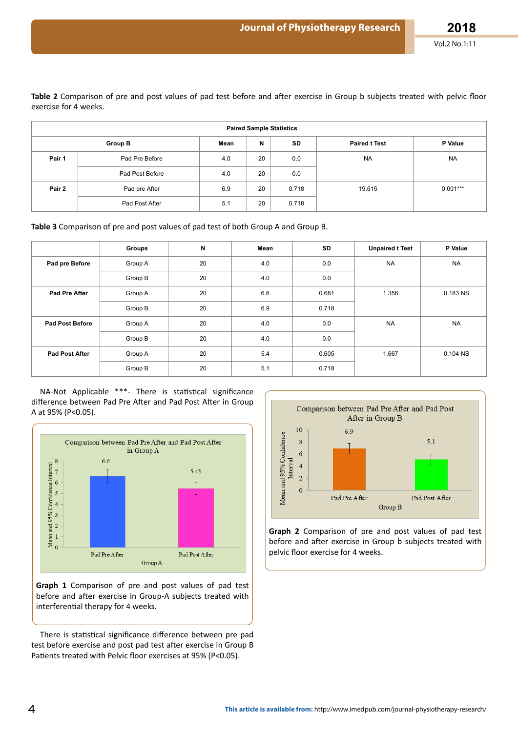Table 2 Comparison of pre and post values of pad test before and after exercise in Group b subjects treated with pelvic floor exercise for 4 weeks.

| <b>Paired Sample Statistics</b> |                 |      |    |           |                      |            |  |  |
|---------------------------------|-----------------|------|----|-----------|----------------------|------------|--|--|
| <b>Group B</b>                  |                 | Mean | N  | <b>SD</b> | <b>Paired t Test</b> | P Value    |  |  |
| Pair 1                          | Pad Pre Before  | 4.0  | 20 | 0.0       | <b>NA</b>            | <b>NA</b>  |  |  |
|                                 | Pad Post Before | 4.0  | 20 | 0.0       |                      |            |  |  |
| Pair 2                          | Pad pre After   | 6.9  | 20 | 0.718     | 19.615               | $0.001***$ |  |  |
|                                 | Pad Post After  | 5.1  | 20 | 0.718     |                      |            |  |  |

Table 3 Comparison of pre and post values of pad test of both Group A and Group B.

|                        | Groups  | N  | Mean | SD    | <b>Unpaired t Test</b> | P Value    |
|------------------------|---------|----|------|-------|------------------------|------------|
| Pad pre Before         | Group A | 20 | 4.0  | 0.0   | <b>NA</b>              | <b>NA</b>  |
|                        | Group B | 20 | 4.0  | 0.0   |                        |            |
| Pad Pre After          | Group A | 20 | 6.6  | 0.681 | 1.356                  | 0.183 NS   |
|                        | Group B | 20 | 6.9  | 0.718 |                        |            |
| <b>Pad Post Before</b> | Group A | 20 | 4.0  | 0.0   | <b>NA</b>              | <b>NA</b>  |
|                        | Group B | 20 | 4.0  | 0.0   |                        |            |
| <b>Pad Post After</b>  | Group A | 20 | 5.4  | 0.605 | 1.667                  | $0.104$ NS |
|                        | Group B | 20 | 5.1  | 0.718 |                        |            |

NA-Not Applicable \*\*\*- There is statistical significance difference between Pad Pre After and Pad Post After in Group A at 95% (P<0.05).



Graph 1 Comparison of pre and post values of pad test before and after exercise in Group-A subjects treated with interferential therapy for 4 weeks.

There is statistical significance difference between pre pad test before exercise and post pad test after exercise in Group B Patients treated with Pelvic floor exercises at 95% (P<0.05).



Graph 2 Comparison of pre and post values of pad test before and after exercise in Group b subjects treated with pelvic floor exercise for 4 weeks.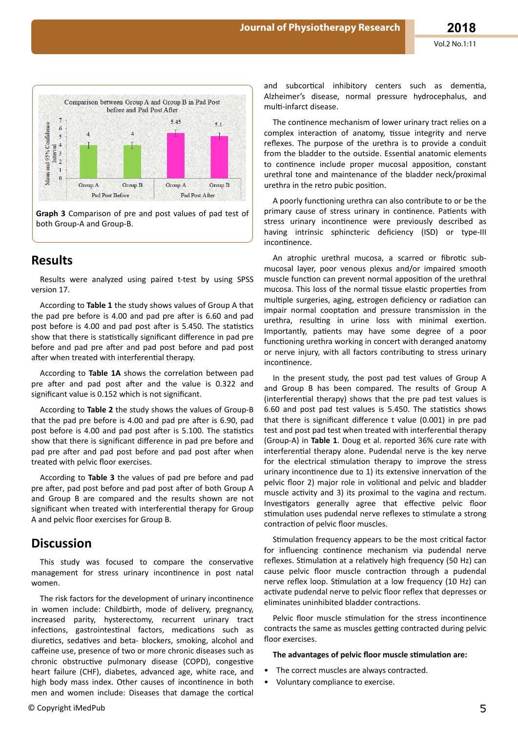

Graph 3 Comparison of pre and post values of pad test of both Group-A and Group-B.

# **Results**

Results were analyzed using paired t-test by using SPSS version 17.

According to Table 1 the study shows values of Group A that the pad pre before is 4.00 and pad pre after is 6.60 and pad post before is 4.00 and pad post after is 5.450. The statistics show that there is statistically significant difference in pad pre before and pad pre after and pad post before and pad post after when treated with interferential therapy.

According to Table 1A shows the correlation between pad pre after and pad post after and the value is 0.322 and significant value is 0.152 which is not significant.

According to Table 2 the study shows the values of Group-B that the pad pre before is 4.00 and pad pre after is 6.90, pad post before is 4.00 and pad post after is 5.100. The statistics show that there is significant difference in pad pre before and pad pre after and pad post before and pad post after when treated with pelvic floor exercises.

According to Table 3 the values of pad pre before and pad pre after, pad post before and pad post after of both Group A and Group B are compared and the results shown are not significant when treated with interferential therapy for Group A and pelvic floor exercises for Group B.

## **Discussion**

This study was focused to compare the conservative management for stress urinary incontinence in post natal women.

The risk factors for the development of urinary incontinence in women include: Childbirth, mode of delivery, pregnancy, increased parity, hysterectomy, recurrent urinary tract infections, gastrointestinal factors, medications such as diuretics, sedatives and beta- blockers, smoking, alcohol and caffeine use, presence of two or more chronic diseases such as chronic obstructive pulmonary disease (COPD), congestive heart failure (CHF), diabetes, advanced age, white race, and high body mass index. Other causes of incontinence in both men and women include: Diseases that damage the cortical

and subcortical inhibitory centers such as dementia, Alzheimer's disease, normal pressure hydrocephalus, and multi-infarct disease.

The continence mechanism of lower urinary tract relies on a complex interaction of anatomy, tissue integrity and nerve reflexes. The purpose of the urethra is to provide a conduit from the bladder to the outside. Essential anatomic elements to continence include proper mucosal apposition, constant urethral tone and maintenance of the bladder neck/proximal urethra in the retro pubic position.

A poorly functioning urethra can also contribute to or be the primary cause of stress urinary in continence. Patients with stress urinary incontinence were previously described as having intrinsic sphincteric deficiency (ISD) or type-III incontinence.

An atrophic urethral mucosa, a scarred or fibrotic submucosal layer, poor venous plexus and/or impaired smooth muscle function can prevent normal apposition of the urethral mucosa. This loss of the normal tissue elastic properties from multiple surgeries, aging, estrogen deficiency or radiation can impair normal cooptation and pressure transmission in the urethra, resulting in urine loss with minimal exertion. Importantly, patients may have some degree of a poor functioning urethra working in concert with deranged anatomy or nerve injury, with all factors contributing to stress urinary incontinence.

In the present study, the post pad test values of Group A and Group B has been compared. The results of Group A (interferential therapy) shows that the pre pad test values is 6.60 and post pad test values is 5.450. The statistics shows that there is significant difference t value (0.001) in pre pad test and post pad test when treated with interferential therapy (Group-A) in Table 1. Doug et al. reported 36% cure rate with interferential therapy alone. Pudendal nerve is the key nerve for the electrical stimulation therapy to improve the stress urinary incontinence due to 1) its extensive innervation of the pelvic floor 2) major role in volitional and pelvic and bladder muscle activity and 3) its proximal to the vagina and rectum. Investigators generally agree that effective pelvic floor stimulation uses pudendal nerve reflexes to stimulate a strong contraction of pelvic floor muscles.

Stimulation frequency appears to be the most critical factor for influencing continence mechanism via pudendal nerve reflexes. Stimulation at a relatively high frequency (50 Hz) can cause pelvic floor muscle contraction through a pudendal nerve reflex loop. Stimulation at a low frequency (10 Hz) can activate pudendal nerve to pelvic floor reflex that depresses or eliminates uninhibited bladder contractions.

Pelvic floor muscle stimulation for the stress incontinence contracts the same as muscles getting contracted during pelvic floor exercises.

#### The advantages of pelvic floor muscle stimulation are:

- The correct muscles are always contracted.
- Voluntary compliance to exercise.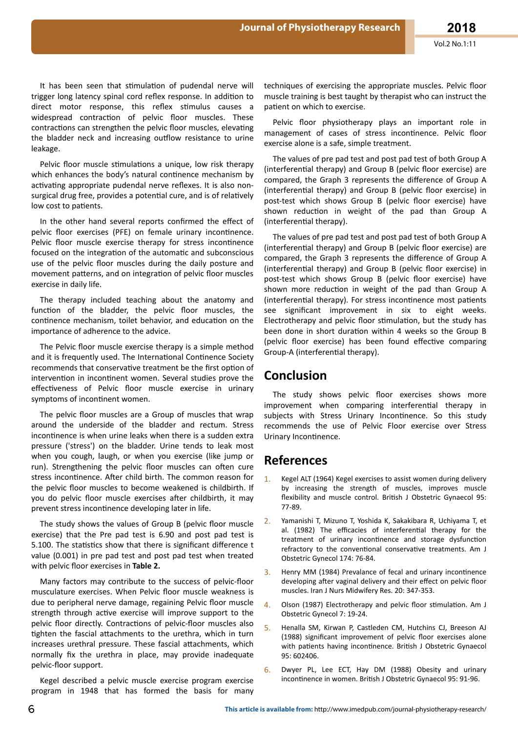It has been seen that stimulation of pudendal nerve will trigger long latency spinal cord reflex response. In addition to direct motor response, this reflex stimulus causes a widespread contraction of pelvic floor muscles. These contractions can strengthen the pelvic floor muscles, elevating the bladder neck and increasing outflow resistance to urine leakage.

Pelvic floor muscle stimulations a unique, low risk therapy which enhances the body's natural continence mechanism by activating appropriate pudendal nerve reflexes. It is also nonsurgical drug free, provides a potential cure, and is of relatively low cost to patients.

In the other hand several reports confirmed the effect of pelvic floor exercises (PFE) on female urinary incontinence. Pelvic floor muscle exercise therapy for stress incontinence focused on the integration of the automatic and subconscious use of the pelvic floor muscles during the daily posture and movement patterns, and on integration of pelvic floor muscles exercise in daily life.

The therapy included teaching about the anatomy and function of the bladder, the pelvic floor muscles, the continence mechanism, toilet behavior, and education on the importance of adherence to the advice.

The Pelvic floor muscle exercise therapy is a simple method and it is frequently used. The International Continence Society recommends that conservative treatment be the first option of intervention in incontinent women. Several studies prove the effectiveness of Pelvic floor muscle exercise in urinary symptoms of incontinent women.

The pelvic floor muscles are a Group of muscles that wrap around the underside of the bladder and rectum. Stress incontinence is when urine leaks when there is a sudden extra pressure ('stress') on the bladder. Urine tends to leak most when you cough, laugh, or when you exercise (like jump or run). Strengthening the pelvic floor muscles can often cure stress incontinence. After child birth. The common reason for the pelvic floor muscles to become weakened is childbirth. If vou do pelvic floor muscle exercises after childbirth, it may prevent stress incontinence developing later in life.

The study shows the values of Group B (pelvic floor muscle exercise) that the Pre pad test is 6.90 and post pad test is 5.100. The statistics show that there is significant difference t value (0.001) in pre pad test and post pad test when treated with pelvic floor exercises in Table 2.

Many factors may contribute to the success of pelvic-floor musculature exercises. When Pelvic floor muscle weakness is due to peripheral nerve damage, regaining Pelvic floor muscle strength through active exercise will improve support to the pelvic floor directly. Contractions of pelvic-floor muscles also tighten the fascial attachments to the urethra, which in turn increases urethral pressure. These fascial attachments, which normally fix the urethra in place, may provide inadequate pelvic-floor support.

Kegel described a pelvic muscle exercise program exercise program in 1948 that has formed the basis for many

techniques of exercising the appropriate muscles. Pelvic floor muscle training is best taught by therapist who can instruct the patient on which to exercise.

Pelvic floor physiotherapy plays an important role in management of cases of stress incontinence. Pelvic floor exercise alone is a safe, simple treatment.

The values of pre pad test and post pad test of both Group A (interferential therapy) and Group B (pelvic floor exercise) are compared, the Graph 3 represents the difference of Group A (interferential therapy) and Group B (pelvic floor exercise) in post-test which shows Group B (pelvic floor exercise) have shown reduction in weight of the pad than Group A (interferential therapy).

The values of pre pad test and post pad test of both Group A (interferential therapy) and Group B (pelvic floor exercise) are compared, the Graph 3 represents the difference of Group A (interferential therapy) and Group B (pelvic floor exercise) in post-test which shows Group B (pelvic floor exercise) have shown more reduction in weight of the pad than Group A (interferential therapy). For stress incontinence most patients see significant improvement in six to eight weeks. Electrotherapy and pelvic floor stimulation, but the study has been done in short duration within 4 weeks so the Group B (pelvic floor exercise) has been found effective comparing Group-A (interferential therapy).

# **Conclusion**

The study shows pelvic floor exercises shows more improvement when comparing interferential therapy in subjects with Stress Urinary Incontinence. So this study recommends the use of Pelvic Floor exercise over Stress Urinary Incontinence.

## **References**

- Kegel ALT (1964) Kegel exercises to assist women during delivery  $1<sub>1</sub>$ by increasing the strength of muscles, improves muscle flexibility and muscle control. British J Obstetric Gynaecol 95: 77-89.
- Yamanishi T, Mizuno T, Yoshida K, Sakakibara R, Uchiyama T, et al. (1982) The efficacies of interferential therapy for the treatment of urinary incontinence and storage dysfunction refractory to the conventional conservative treatments. Am J Obstetric Gynecol 174: 76-84.
- Henry MM (1984) Prevalance of fecal and urinary incontinence 3. developing after vaginal delivery and their effect on pelvic floor muscles. Iran J Nurs Midwifery Res. 20: 347-353.
- Olson (1987) Electrotherapy and pelvic floor stimulation. Am J  $4.$ Obstetric Gynecol 7: 19-24.
- 5. Henalla SM, Kirwan P, Castleden CM, Hutchins CJ, Breeson AJ (1988) significant improvement of pelvic floor exercises alone with patients having incontinence. British J Obstetric Gynaecol 95: 602406.
- Dwyer PL, Lee ECT, Hay DM (1988) Obesity and urinary  $6.$ incontinence in women. British J Obstetric Gynaecol 95: 91-96.